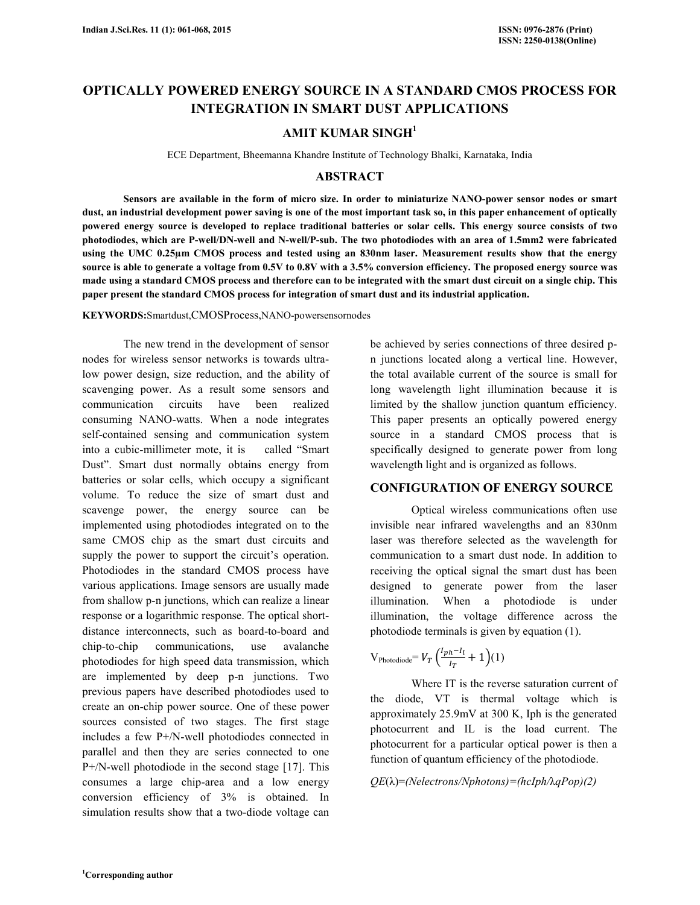# **OPTICALLY POWERED ENERGY SOURCE IN A STANDARD CMOS PROCESS FOR INTEGRATION IN SMART DUST APPLICATIONS**

# **AMIT KUMAR SINGH<sup>1</sup>**

ECE Department, Bheemanna Khandre Institute of Technology Bhalki, Karnataka, India

# **ABSTRACT**

 **Sensors are available in the form of micro size. In order to miniaturize NANO-power sensor nodes or smart dust, an industrial development power saving is one of the most important task so, in this paper enhancement of optically powered energy source is developed to replace traditional batteries or solar cells. This energy source consists of two photodiodes, which are P-well/DN-well and N-well/P-sub. The two photodiodes with an area of 1.5mm2 were fabricated using the UMC 0.25µm CMOS process and tested using an 830nm laser. Measurement results show that the energy source is able to generate a voltage from 0.5V to 0.8V with a 3.5% conversion efficiency. The proposed energy source was made using a standard CMOS process and therefore can to be integrated with the smart dust circuit on a single chip. This paper present the standard CMOS process for integration of smart dust and its industrial application.** 

**KEYWORDS:**Smartdust,CMOSProcess,NANO-powersensornodes

 The new trend in the development of sensor nodes for wireless sensor networks is towards ultralow power design, size reduction, and the ability of scavenging power. As a result some sensors and communication circuits have been realized consuming NANO-watts. When a node integrates self-contained sensing and communication system into a cubic-millimeter mote, it is called "Smart Dust". Smart dust normally obtains energy from batteries or solar cells, which occupy a significant volume. To reduce the size of smart dust and scavenge power, the energy source can be implemented using photodiodes integrated on to the same CMOS chip as the smart dust circuits and supply the power to support the circuit's operation. Photodiodes in the standard CMOS process have various applications. Image sensors are usually made from shallow p-n junctions, which can realize a linear response or a logarithmic response. The optical shortdistance interconnects, such as board-to-board and chip-to-chip communications, use avalanche photodiodes for high speed data transmission, which are implemented by deep p-n junctions. Two previous papers have described photodiodes used to create an on-chip power source. One of these power sources consisted of two stages. The first stage includes a few P+/N-well photodiodes connected in parallel and then they are series connected to one P+/N-well photodiode in the second stage [17]. This consumes a large chip-area and a low energy conversion efficiency of 3% is obtained. In simulation results show that a two-diode voltage can

be achieved by series connections of three desired pn junctions located along a vertical line. However, the total available current of the source is small for long wavelength light illumination because it is limited by the shallow junction quantum efficiency. This paper presents an optically powered energy source in a standard CMOS process that is specifically designed to generate power from long wavelength light and is organized as follows.

## **CONFIGURATION OF ENERGY SOURCE**

 Optical wireless communications often use invisible near infrared wavelengths and an 830nm laser was therefore selected as the wavelength for communication to a smart dust node. In addition to receiving the optical signal the smart dust has been designed to generate power from the laser illumination. When a photodiode is under illumination, the voltage difference across the photodiode terminals is given by equation (1).

$$
V_{\text{Photodiode}} = V_T \left( \frac{I_{ph} - I_l}{I_T} + 1 \right) (1)
$$

Where IT is the reverse saturation current of the diode, VT is thermal voltage which is approximately 25.9mV at 300 K, Iph is the generated photocurrent and IL is the load current. The photocurrent for a particular optical power is then a function of quantum efficiency of the photodiode.

*QE*(λ)=*(Nelectrons/Nphotons)=(hcIph/*λ*qPop)(2)*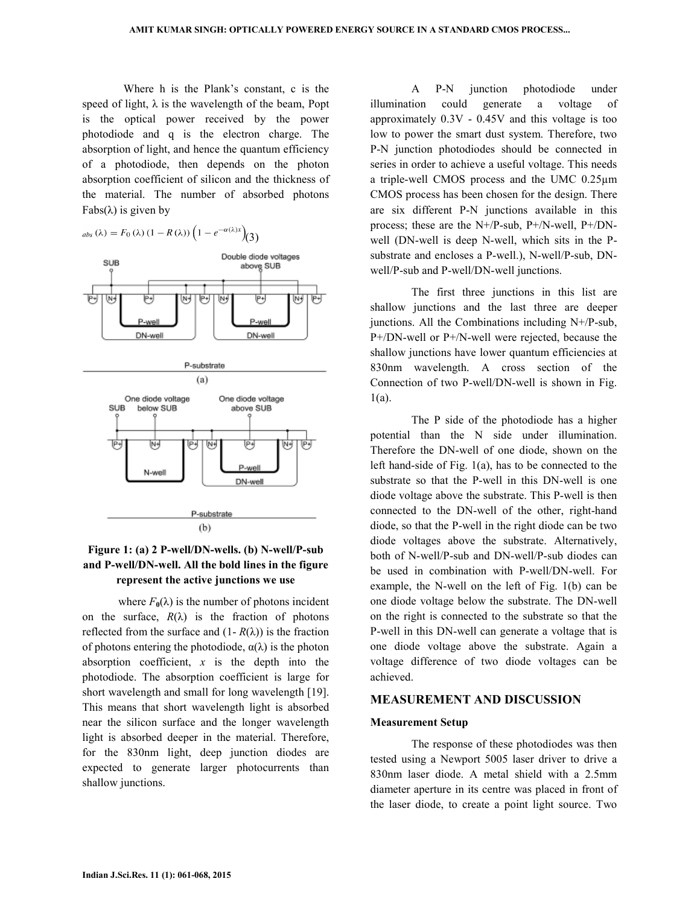Where h is the Plank's constant, c is the speed of light,  $\lambda$  is the wavelength of the beam, Popt is the optical power received by the power photodiode and q is the electron charge. The absorption of light, and hence the quantum efficiency of a photodiode, then depends on the photon absorption coefficient of silicon and the thickness of the material. The number of absorbed photons Fabs(λ) is given by

 $_{abs}(\lambda) = F_0(\lambda) (1 - R(\lambda)) \left(1 - e^{-\alpha(\lambda)x}\right)$ (3) Double diode voltages SUB above<sub>SUB</sub> ঢ়ি w ⊎ w ⊎ Wţ 吗 w एम Puuol DN-well DN-well P-substrate  $(a)$ One diode voltage One diode voltage **SUB** above SUB below SUB ট 尀 pу ⋓ ల ٣ 网 P-we N-well DN-well P-substrate  $(b)$ 

# **Figure 1: (a) 2 P-well/DN-wells. (b) N-well/P-sub and P-well/DN-well. All the bold lines in the figure represent the active junctions we use**

where  $F_0(\lambda)$  is the number of photons incident on the surface,  $R(\lambda)$  is the fraction of photons reflected from the surface and  $(1 - R(\lambda))$  is the fraction of photons entering the photodiode,  $\alpha(\lambda)$  is the photon absorption coefficient, *x* is the depth into the photodiode. The absorption coefficient is large for short wavelength and small for long wavelength [19]. This means that short wavelength light is absorbed near the silicon surface and the longer wavelength light is absorbed deeper in the material. Therefore, for the 830nm light, deep junction diodes are expected to generate larger photocurrents than shallow junctions.

 A P-N junction photodiode under illumination could generate a voltage of approximately 0.3V - 0.45V and this voltage is too low to power the smart dust system. Therefore, two P-N junction photodiodes should be connected in series in order to achieve a useful voltage. This needs a triple-well CMOS process and the UMC 0.25µm CMOS process has been chosen for the design. There are six different P-N junctions available in this process; these are the N+/P-sub, P+/N-well, P+/DNwell (DN-well is deep N-well, which sits in the Psubstrate and encloses a P-well.), N-well/P-sub, DNwell/P-sub and P-well/DN-well junctions.

 The first three junctions in this list are shallow junctions and the last three are deeper junctions. All the Combinations including  $N+/P$ -sub, P+/DN-well or P+/N-well were rejected, because the shallow junctions have lower quantum efficiencies at 830nm wavelength. A cross section of the Connection of two P-well/DN-well is shown in Fig. 1(a).

 The P side of the photodiode has a higher potential than the N side under illumination. Therefore the DN-well of one diode, shown on the left hand-side of Fig. 1(a), has to be connected to the substrate so that the P-well in this DN-well is one diode voltage above the substrate. This P-well is then connected to the DN-well of the other, right-hand diode, so that the P-well in the right diode can be two diode voltages above the substrate. Alternatively, both of N-well/P-sub and DN-well/P-sub diodes can be used in combination with P-well/DN-well. For example, the N-well on the left of Fig. 1(b) can be one diode voltage below the substrate. The DN-well on the right is connected to the substrate so that the P-well in this DN-well can generate a voltage that is one diode voltage above the substrate. Again a voltage difference of two diode voltages can be achieved.

#### **MEASUREMENT AND DISCUSSION**

#### **Measurement Setup**

 The response of these photodiodes was then tested using a Newport 5005 laser driver to drive a 830nm laser diode. A metal shield with a 2.5mm diameter aperture in its centre was placed in front of the laser diode, to create a point light source. Two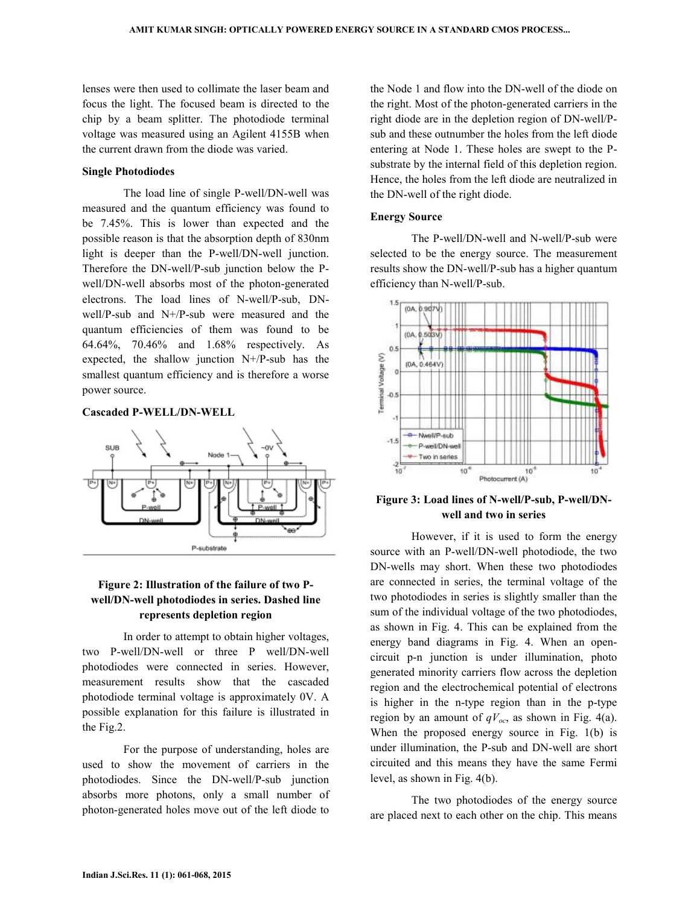lenses were then used to collimate the laser beam and focus the light. The focused beam is directed to the chip by a beam splitter. The photodiode terminal voltage was measured using an Agilent 4155B when the current drawn from the diode was varied.

#### **Single Photodiodes**

 The load line of single P-well/DN-well was measured and the quantum efficiency was found to be 7.45%. This is lower than expected and the possible reason is that the absorption depth of 830nm light is deeper than the P-well/DN-well junction. Therefore the DN-well/P-sub junction below the Pwell/DN-well absorbs most of the photon-generated electrons. The load lines of N-well/P-sub, DNwell/P-sub and N+/P-sub were measured and the quantum efficiencies of them was found to be 64.64%, 70.46% and 1.68% respectively. As expected, the shallow junction N+/P-sub has the smallest quantum efficiency and is therefore a worse power source.

#### **Cascaded P-WELL/DN-WELL**



# **Figure 2: Illustration of the failure of two Pwell/DN-well photodiodes in series. Dashed line represents depletion region**

 In order to attempt to obtain higher voltages, two P-well/DN-well or three P well/DN-well photodiodes were connected in series. However, measurement results show that the cascaded photodiode terminal voltage is approximately 0V. A possible explanation for this failure is illustrated in the Fig.2.

 For the purpose of understanding, holes are used to show the movement of carriers in the photodiodes. Since the DN-well/P-sub junction absorbs more photons, only a small number of photon-generated holes move out of the left diode to the Node 1 and flow into the DN-well of the diode on the right. Most of the photon-generated carriers in the right diode are in the depletion region of DN-well/Psub and these outnumber the holes from the left diode entering at Node 1. These holes are swept to the Psubstrate by the internal field of this depletion region. Hence, the holes from the left diode are neutralized in the DN-well of the right diode.

#### **Energy Source**

 The P-well/DN-well and N-well/P-sub were selected to be the energy source. The measurement results show the DN-well/P-sub has a higher quantum efficiency than N-well/P-sub.



**Figure 3: Load lines of N-well/P-sub, P-well/DNwell and two in series** 

 However, if it is used to form the energy source with an P-well/DN-well photodiode, the two DN-wells may short. When these two photodiodes are connected in series, the terminal voltage of the two photodiodes in series is slightly smaller than the sum of the individual voltage of the two photodiodes, as shown in Fig. 4. This can be explained from the energy band diagrams in Fig. 4. When an opencircuit p-n junction is under illumination, photo generated minority carriers flow across the depletion region and the electrochemical potential of electrons is higher in the n-type region than in the p-type region by an amount of  $qV_{oc}$ , as shown in Fig. 4(a). When the proposed energy source in Fig. 1(b) is under illumination, the P-sub and DN-well are short circuited and this means they have the same Fermi level, as shown in Fig. 4(b).

 The two photodiodes of the energy source are placed next to each other on the chip. This means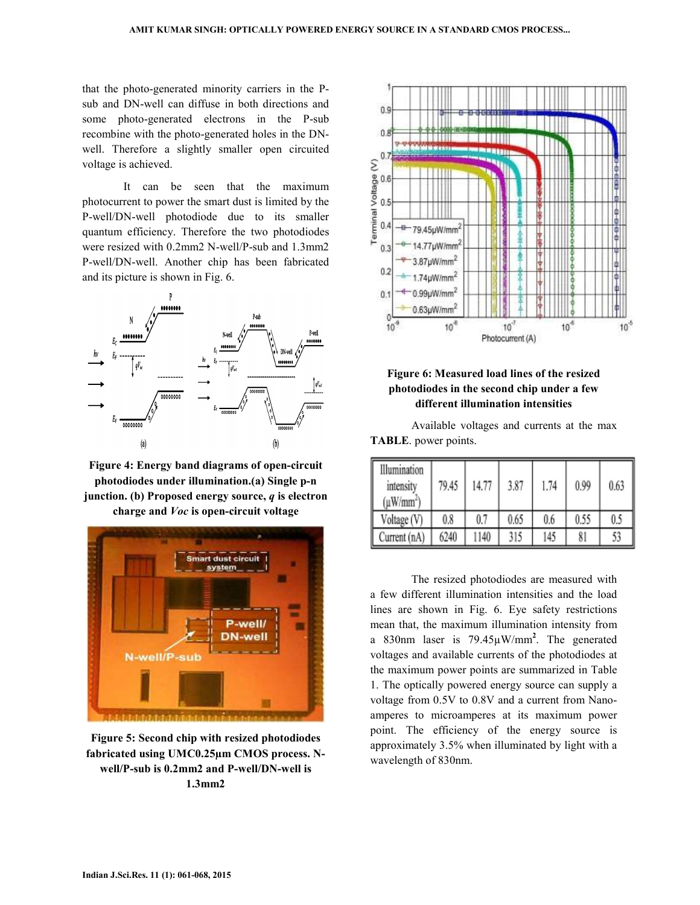that the photo-generated minority carriers in the Psub and DN-well can diffuse in both directions and some photo-generated electrons in the P-sub recombine with the photo-generated holes in the DNwell. Therefore a slightly smaller open circuited voltage is achieved.

 It can be seen that the maximum photocurrent to power the smart dust is limited by the P-well/DN-well photodiode due to its smaller quantum efficiency. Therefore the two photodiodes were resized with 0.2mm2 N-well/P-sub and 1.3mm2 P-well/DN-well. Another chip has been fabricated and its picture is shown in Fig. 6.



**Figure 4: Energy band diagrams of open-circuit photodiodes under illumination.(a) Single p-n junction. (b) Proposed energy source,** *q* **is electron charge and** *Voc* **is open-circuit voltage** 



**Figure 5: Second chip with resized photodiodes fabricated using UMC0.25µm CMOS process. Nwell/P-sub is 0.2mm2 and P-well/DN-well is 1.3mm2** 



**Figure 6: Measured load lines of the resized photodiodes in the second chip under a few different illumination intensities** 

 Available voltages and currents at the max **TABLE**. power points.

| Illumination<br>intensity<br>$(\mu W/mm^2)$ | 79.45 | 14.77 | 3.87 | 1.74 | 0.99 | 0.63 |
|---------------------------------------------|-------|-------|------|------|------|------|
| Voltage (V)                                 | 0.8   | 0.7   | 0.65 | 0.6  | 0.55 | 0.5  |
| Current (nA)                                | 6240  | 1140  | 315  | 145  | 81   | 53   |

 The resized photodiodes are measured with a few different illumination intensities and the load lines are shown in Fig. 6. Eye safety restrictions mean that, the maximum illumination intensity from a 830nm laser is 79.45µW/mm**<sup>2</sup>** . The generated voltages and available currents of the photodiodes at the maximum power points are summarized in Table 1. The optically powered energy source can supply a voltage from 0.5V to 0.8V and a current from Nanoamperes to microamperes at its maximum power point. The efficiency of the energy source is approximately 3.5% when illuminated by light with a wavelength of 830nm.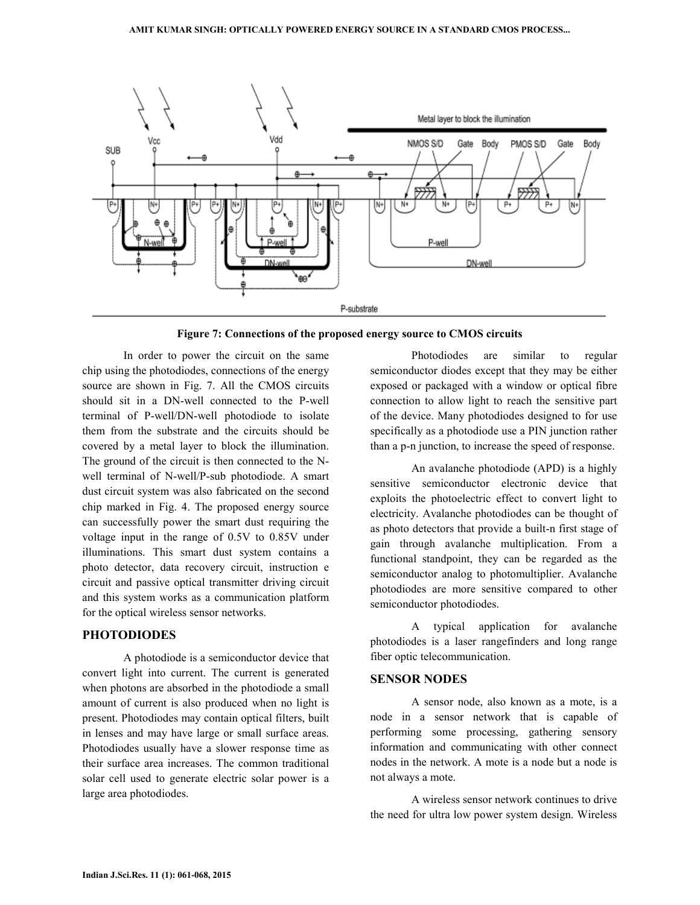

**Figure 7: Connections of the proposed energy source to CMOS circuits** 

 In order to power the circuit on the same chip using the photodiodes, connections of the energy source are shown in Fig. 7. All the CMOS circuits should sit in a DN-well connected to the P-well terminal of P-well/DN-well photodiode to isolate them from the substrate and the circuits should be covered by a metal layer to block the illumination. The ground of the circuit is then connected to the Nwell terminal of N-well/P-sub photodiode. A smart dust circuit system was also fabricated on the second chip marked in Fig. 4. The proposed energy source can successfully power the smart dust requiring the voltage input in the range of 0.5V to 0.85V under illuminations. This smart dust system contains a photo detector, data recovery circuit, instruction e circuit and passive optical transmitter driving circuit and this system works as a communication platform for the optical wireless sensor networks.

# **PHOTODIODES**

 A photodiode is a semiconductor device that convert light into current. The current is generated when photons are absorbed in the photodiode a small amount of current is also produced when no light is present. Photodiodes may contain optical filters, built in lenses and may have large or small surface areas. Photodiodes usually have a slower response time as their surface area increases. The common traditional solar cell used to generate electric solar power is a large area photodiodes.

 Photodiodes are similar to regular semiconductor diodes except that they may be either exposed or packaged with a window or optical fibre connection to allow light to reach the sensitive part of the device. Many photodiodes designed to for use specifically as a photodiode use a PIN junction rather than a p-n junction, to increase the speed of response.

 An avalanche photodiode (APD) is a highly sensitive semiconductor electronic device that exploits the photoelectric effect to convert light to electricity. Avalanche photodiodes can be thought of as photo detectors that provide a built-n first stage of gain through avalanche multiplication. From a functional standpoint, they can be regarded as the semiconductor analog to photomultiplier. Avalanche photodiodes are more sensitive compared to other semiconductor photodiodes.

 A typical application for avalanche photodiodes is a laser rangefinders and long range fiber optic telecommunication.

#### **SENSOR NODES**

 A sensor node, also known as a mote, is a node in a sensor network that is capable of performing some processing, gathering sensory information and communicating with other connect nodes in the network. A mote is a node but a node is not always a mote.

 A wireless sensor network continues to drive the need for ultra low power system design. Wireless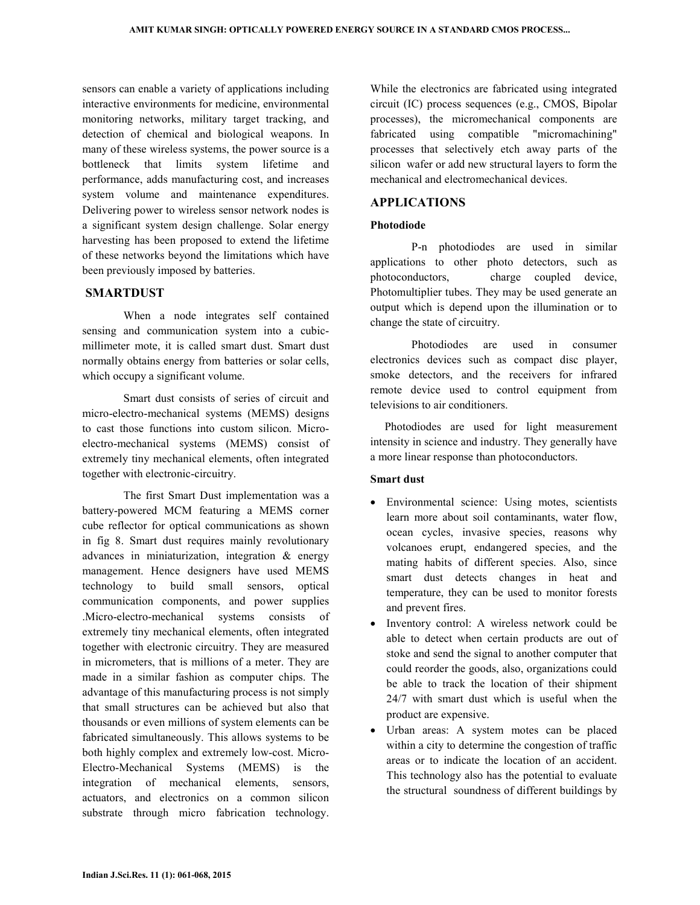sensors can enable a variety of applications including interactive environments for medicine, environmental monitoring networks, military target tracking, and detection of chemical and biological weapons. In many of these wireless systems, the power source is a bottleneck that limits system lifetime and performance, adds manufacturing cost, and increases system volume and maintenance expenditures. Delivering power to wireless sensor network nodes is a significant system design challenge. Solar energy harvesting has been proposed to extend the lifetime of these networks beyond the limitations which have been previously imposed by batteries.

## **SMARTDUST**

 When a node integrates self contained sensing and communication system into a cubicmillimeter mote, it is called smart dust. Smart dust normally obtains energy from batteries or solar cells, which occupy a significant volume.

 Smart dust consists of series of circuit and micro-electro-mechanical systems (MEMS) designs to cast those functions into custom silicon. Microelectro-mechanical systems (MEMS) consist of extremely tiny mechanical elements, often integrated together with electronic-circuitry.

 The first Smart Dust implementation was a battery-powered MCM featuring a MEMS corner cube reflector for optical communications as shown in fig 8. Smart dust requires mainly revolutionary advances in miniaturization, integration & energy management. Hence designers have used MEMS technology to build small sensors, optical communication components, and power supplies .Micro-electro-mechanical systems consists of extremely tiny mechanical elements, often integrated together with electronic circuitry. They are measured in micrometers, that is millions of a meter. They are made in a similar fashion as computer chips. The advantage of this manufacturing process is not simply that small structures can be achieved but also that thousands or even millions of system elements can be fabricated simultaneously. This allows systems to be both highly complex and extremely low-cost. Micro-Electro-Mechanical Systems (MEMS) is the integration of mechanical elements, sensors, actuators, and electronics on a common silicon substrate through micro fabrication technology.

While the electronics are fabricated using integrated circuit (IC) process sequences (e.g., CMOS, Bipolar processes), the micromechanical components are fabricated using compatible "micromachining" processes that selectively etch away parts of the silicon wafer or add new structural layers to form the mechanical and electromechanical devices.

### **APPLICATIONS**

## **Photodiode**

 P-n photodiodes are used in similar applications to other photo detectors, such as photoconductors, charge coupled device, Photomultiplier tubes. They may be used generate an output which is depend upon the illumination or to change the state of circuitry.

 Photodiodes are used in consumer electronics devices such as compact disc player, smoke detectors, and the receivers for infrared remote device used to control equipment from televisions to air conditioners.

 Photodiodes are used for light measurement intensity in science and industry. They generally have a more linear response than photoconductors.

#### **Smart dust**

- Environmental science: Using motes, scientists learn more about soil contaminants, water flow, ocean cycles, invasive species, reasons why volcanoes erupt, endangered species, and the mating habits of different species. Also, since smart dust detects changes in heat and temperature, they can be used to monitor forests and prevent fires.
- Inventory control: A wireless network could be able to detect when certain products are out of stoke and send the signal to another computer that could reorder the goods, also, organizations could be able to track the location of their shipment 24/7 with smart dust which is useful when the product are expensive.
- Urban areas: A system motes can be placed within a city to determine the congestion of traffic areas or to indicate the location of an accident. This technology also has the potential to evaluate the structural soundness of different buildings by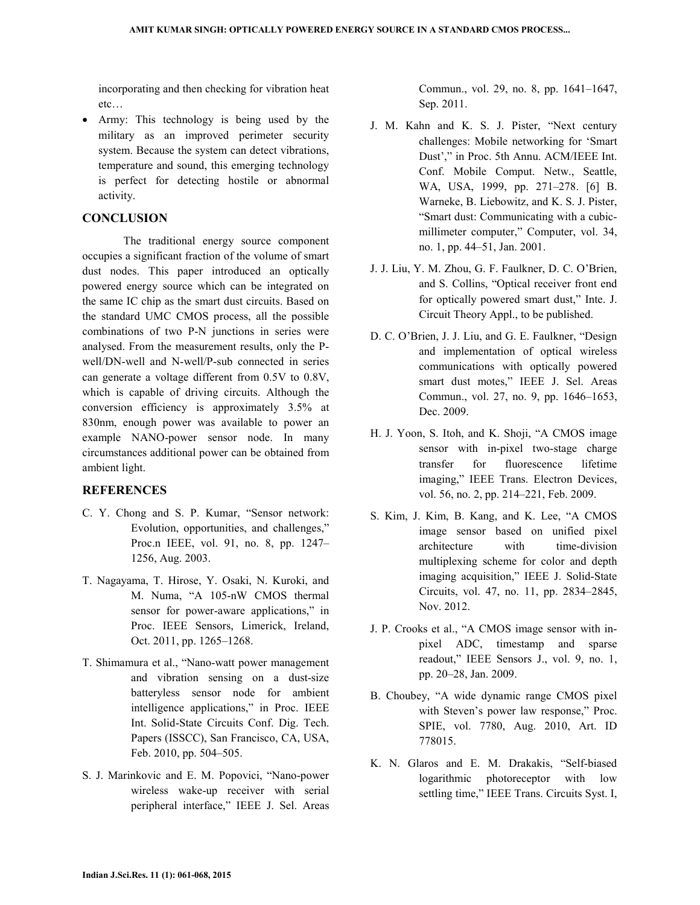incorporating and then checking for vibration heat etc…

• Army: This technology is being used by the military as an improved perimeter security system. Because the system can detect vibrations, temperature and sound, this emerging technology is perfect for detecting hostile or abnormal activity.

## **CONCLUSION**

 The traditional energy source component occupies a significant fraction of the volume of smart dust nodes. This paper introduced an optically powered energy source which can be integrated on the same IC chip as the smart dust circuits. Based on the standard UMC CMOS process, all the possible combinations of two P-N junctions in series were analysed. From the measurement results, only the Pwell/DN-well and N-well/P-sub connected in series can generate a voltage different from 0.5V to 0.8V, which is capable of driving circuits. Although the conversion efficiency is approximately 3.5% at 830nm, enough power was available to power an example NANO-power sensor node. In many circumstances additional power can be obtained from ambient light.

## **REFERENCES**

- C. Y. Chong and S. P. Kumar, "Sensor network: Evolution, opportunities, and challenges," Proc.n IEEE, vol. 91, no. 8, pp. 1247– 1256, Aug. 2003.
- T. Nagayama, T. Hirose, Y. Osaki, N. Kuroki, and M. Numa, "A 105-nW CMOS thermal sensor for power-aware applications," in Proc. IEEE Sensors, Limerick, Ireland, Oct. 2011, pp. 1265–1268.
- T. Shimamura et al., "Nano-watt power management and vibration sensing on a dust-size batteryless sensor node for ambient intelligence applications," in Proc. IEEE Int. Solid-State Circuits Conf. Dig. Tech. Papers (ISSCC), San Francisco, CA, USA, Feb. 2010, pp. 504–505.
- S. J. Marinkovic and E. M. Popovici, "Nano-power wireless wake-up receiver with serial peripheral interface," IEEE J. Sel. Areas

Commun., vol. 29, no. 8, pp. 1641–1647, Sep. 2011.

- J. M. Kahn and K. S. J. Pister, "Next century challenges: Mobile networking for 'Smart Dust'," in Proc. 5th Annu. ACM/IEEE Int. Conf. Mobile Comput. Netw., Seattle, WA, USA, 1999, pp. 271–278. [6] B. Warneke, B. Liebowitz, and K. S. J. Pister, "Smart dust: Communicating with a cubicmillimeter computer," Computer, vol. 34, no. 1, pp. 44–51, Jan. 2001.
- J. J. Liu, Y. M. Zhou, G. F. Faulkner, D. C. O'Brien, and S. Collins, "Optical receiver front end for optically powered smart dust," Inte. J. Circuit Theory Appl., to be published.
- D. C. O'Brien, J. J. Liu, and G. E. Faulkner, "Design and implementation of optical wireless communications with optically powered smart dust motes," IEEE J. Sel. Areas Commun., vol. 27, no. 9, pp. 1646–1653, Dec. 2009.
- H. J. Yoon, S. Itoh, and K. Shoji, "A CMOS image sensor with in-pixel two-stage charge transfer for fluorescence lifetime imaging," IEEE Trans. Electron Devices, vol. 56, no. 2, pp. 214–221, Feb. 2009.
- S. Kim, J. Kim, B. Kang, and K. Lee, "A CMOS image sensor based on unified pixel architecture with time-division multiplexing scheme for color and depth imaging acquisition," IEEE J. Solid-State Circuits, vol. 47, no. 11, pp. 2834–2845, Nov. 2012.
- J. P. Crooks et al., "A CMOS image sensor with inpixel ADC, timestamp and sparse readout," IEEE Sensors J., vol. 9, no. 1, pp. 20–28, Jan. 2009.
- B. Choubey, "A wide dynamic range CMOS pixel with Steven's power law response," Proc. SPIE, vol. 7780, Aug. 2010, Art. ID 778015.
- K. N. Glaros and E. M. Drakakis, "Self-biased logarithmic photoreceptor with low settling time," IEEE Trans. Circuits Syst. I,